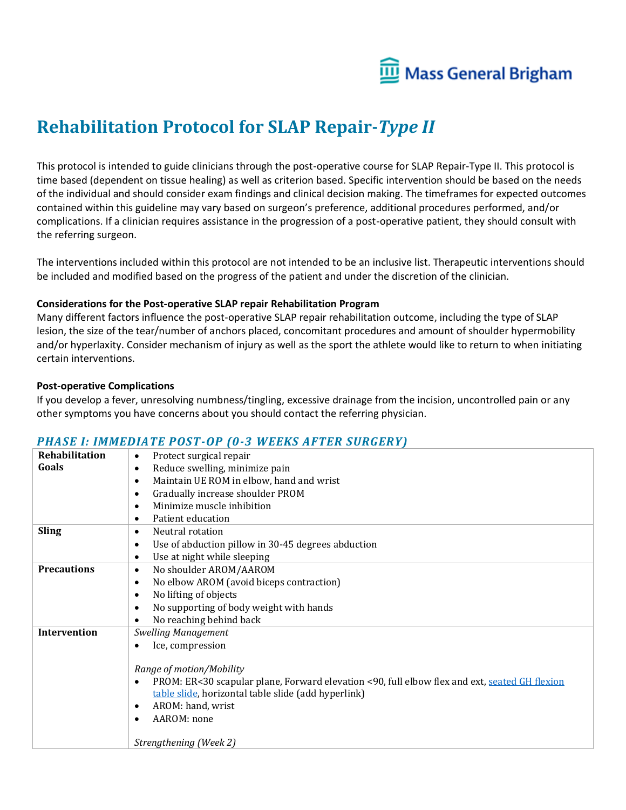

# **Rehabilitation Protocol for SLAP Repair-***Type II*

This protocol is intended to guide clinicians through the post-operative course for SLAP Repair-Type II. This protocol is time based (dependent on tissue healing) as well as criterion based. Specific intervention should be based on the needs of the individual and should consider exam findings and clinical decision making. The timeframes for expected outcomes contained within this guideline may vary based on surgeon's preference, additional procedures performed, and/or complications. If a clinician requires assistance in the progression of a post-operative patient, they should consult with the referring surgeon.

The interventions included within this protocol are not intended to be an inclusive list. Therapeutic interventions should be included and modified based on the progress of the patient and under the discretion of the clinician.

### **Considerations for the Post-operative SLAP repair Rehabilitation Program**

Many different factors influence the post-operative SLAP repair rehabilitation outcome, including the type of SLAP lesion, the size of the tear/number of anchors placed, concomitant procedures and amount of shoulder hypermobility and/or hyperlaxity. Consider mechanism of injury as well as the sport the athlete would like to return to when initiating certain interventions.

### **Post-operative Complications**

If you develop a fever, unresolving numbness/tingling, excessive drainage from the incision, uncontrolled pain or any other symptoms you have concerns about you should contact the referring physician.

### *PHASE I: IMMEDIATE POST-OP (0-3 WEEKS AFTER SURGERY)*

| Rehabilitation      | Protect surgical repair<br>$\bullet$                                                          |
|---------------------|-----------------------------------------------------------------------------------------------|
| Goals               | Reduce swelling, minimize pain<br>$\bullet$                                                   |
|                     | Maintain UE ROM in elbow, hand and wrist<br>$\bullet$                                         |
|                     | Gradually increase shoulder PROM<br>٠                                                         |
|                     | Minimize muscle inhibition<br>$\bullet$                                                       |
|                     | Patient education<br>٠                                                                        |
| <b>Sling</b>        | Neutral rotation<br>$\bullet$                                                                 |
|                     | Use of abduction pillow in 30-45 degrees abduction<br>$\bullet$                               |
|                     | Use at night while sleeping<br>$\bullet$                                                      |
| <b>Precautions</b>  | No shoulder AROM/AAROM<br>$\bullet$                                                           |
|                     | No elbow AROM (avoid biceps contraction)<br>$\bullet$                                         |
|                     | No lifting of objects<br>٠                                                                    |
|                     | No supporting of body weight with hands<br>$\bullet$                                          |
|                     | No reaching behind back                                                                       |
| <b>Intervention</b> | <b>Swelling Management</b>                                                                    |
|                     | Ice, compression                                                                              |
|                     |                                                                                               |
|                     | Range of motion/Mobility                                                                      |
|                     | PROM: ER<30 scapular plane, Forward elevation <90, full elbow flex and ext, seated GH flexion |
|                     | table slide, horizontal table slide (add hyperlink)                                           |
|                     | AROM: hand, wrist<br>$\bullet$                                                                |
|                     | AAROM: none                                                                                   |
|                     | Strengthening (Week 2)                                                                        |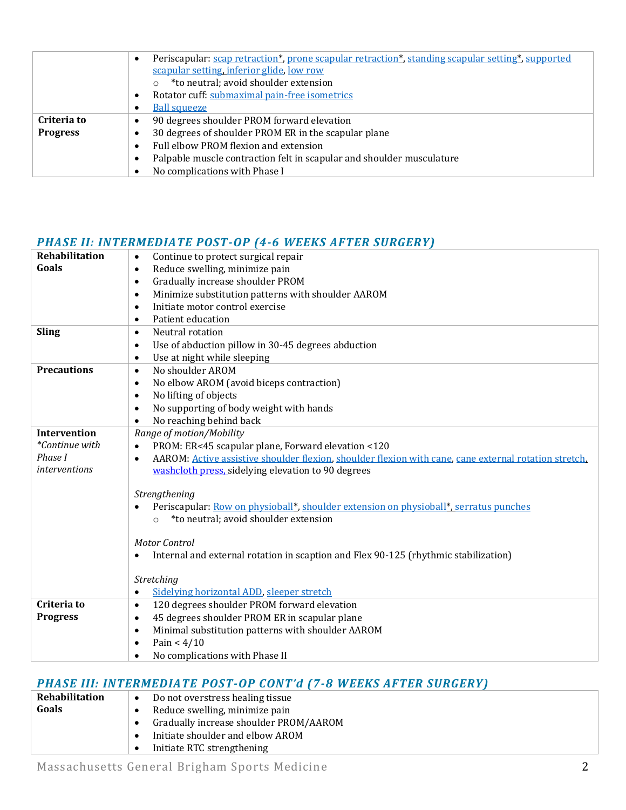|                 | Periscapular: scap retraction*, prone scapular retraction*, standing scapular setting*, supported<br>$\bullet$ |
|-----------------|----------------------------------------------------------------------------------------------------------------|
|                 | scapular setting, inferior glide, low row                                                                      |
|                 | *to neutral; avoid shoulder extension                                                                          |
|                 | Rotator cuff: submaximal pain-free isometrics                                                                  |
|                 | <b>Ball squeeze</b>                                                                                            |
| Criteria to     | 90 degrees shoulder PROM forward elevation                                                                     |
| <b>Progress</b> | 30 degrees of shoulder PROM ER in the scapular plane                                                           |
|                 | Full elbow PROM flexion and extension                                                                          |
|                 | Palpable muscle contraction felt in scapular and shoulder musculature                                          |
|                 | No complications with Phase I                                                                                  |

## *PHASE II: INTERMEDIATE POST-OP (4-6 WEEKS AFTER SURGERY)*

| Goals<br>Reduce swelling, minimize pain<br>$\bullet$<br>Gradually increase shoulder PROM<br>$\bullet$<br>Minimize substitution patterns with shoulder AAROM<br>$\bullet$<br>Initiate motor control exercise<br>$\bullet$<br>Patient education<br>$\bullet$<br><b>Sling</b><br>Neutral rotation<br>$\bullet$<br>Use of abduction pillow in 30-45 degrees abduction<br>$\bullet$<br>Use at night while sleeping<br>$\bullet$<br><b>Precautions</b><br>No shoulder AROM<br>$\bullet$<br>No elbow AROM (avoid biceps contraction)<br>$\bullet$<br>No lifting of objects<br>$\bullet$<br>No supporting of body weight with hands<br>$\bullet$<br>No reaching behind back<br>$\bullet$<br><b>Intervention</b><br>Range of motion/Mobility<br>*Continue with<br>PROM: ER<45 scapular plane, Forward elevation <120 |
|-------------------------------------------------------------------------------------------------------------------------------------------------------------------------------------------------------------------------------------------------------------------------------------------------------------------------------------------------------------------------------------------------------------------------------------------------------------------------------------------------------------------------------------------------------------------------------------------------------------------------------------------------------------------------------------------------------------------------------------------------------------------------------------------------------------|
|                                                                                                                                                                                                                                                                                                                                                                                                                                                                                                                                                                                                                                                                                                                                                                                                             |
|                                                                                                                                                                                                                                                                                                                                                                                                                                                                                                                                                                                                                                                                                                                                                                                                             |
|                                                                                                                                                                                                                                                                                                                                                                                                                                                                                                                                                                                                                                                                                                                                                                                                             |
|                                                                                                                                                                                                                                                                                                                                                                                                                                                                                                                                                                                                                                                                                                                                                                                                             |
|                                                                                                                                                                                                                                                                                                                                                                                                                                                                                                                                                                                                                                                                                                                                                                                                             |
|                                                                                                                                                                                                                                                                                                                                                                                                                                                                                                                                                                                                                                                                                                                                                                                                             |
|                                                                                                                                                                                                                                                                                                                                                                                                                                                                                                                                                                                                                                                                                                                                                                                                             |
|                                                                                                                                                                                                                                                                                                                                                                                                                                                                                                                                                                                                                                                                                                                                                                                                             |
|                                                                                                                                                                                                                                                                                                                                                                                                                                                                                                                                                                                                                                                                                                                                                                                                             |
|                                                                                                                                                                                                                                                                                                                                                                                                                                                                                                                                                                                                                                                                                                                                                                                                             |
|                                                                                                                                                                                                                                                                                                                                                                                                                                                                                                                                                                                                                                                                                                                                                                                                             |
|                                                                                                                                                                                                                                                                                                                                                                                                                                                                                                                                                                                                                                                                                                                                                                                                             |
|                                                                                                                                                                                                                                                                                                                                                                                                                                                                                                                                                                                                                                                                                                                                                                                                             |
|                                                                                                                                                                                                                                                                                                                                                                                                                                                                                                                                                                                                                                                                                                                                                                                                             |
| $\bullet$                                                                                                                                                                                                                                                                                                                                                                                                                                                                                                                                                                                                                                                                                                                                                                                                   |
| Phase I<br>AAROM: Active assistive shoulder flexion, shoulder flexion with cane, cane external rotation stretch.<br>$\bullet$                                                                                                                                                                                                                                                                                                                                                                                                                                                                                                                                                                                                                                                                               |
| <i>interventions</i><br>washcloth press, sidelying elevation to 90 degrees                                                                                                                                                                                                                                                                                                                                                                                                                                                                                                                                                                                                                                                                                                                                  |
|                                                                                                                                                                                                                                                                                                                                                                                                                                                                                                                                                                                                                                                                                                                                                                                                             |
| Strengthening                                                                                                                                                                                                                                                                                                                                                                                                                                                                                                                                                                                                                                                                                                                                                                                               |
| Periscapular: Row on physioball*, shoulder extension on physioball*, serratus punches                                                                                                                                                                                                                                                                                                                                                                                                                                                                                                                                                                                                                                                                                                                       |
| *to neutral; avoid shoulder extension<br>$\Omega$                                                                                                                                                                                                                                                                                                                                                                                                                                                                                                                                                                                                                                                                                                                                                           |
| Motor Control                                                                                                                                                                                                                                                                                                                                                                                                                                                                                                                                                                                                                                                                                                                                                                                               |
| Internal and external rotation in scaption and Flex 90-125 (rhythmic stabilization)                                                                                                                                                                                                                                                                                                                                                                                                                                                                                                                                                                                                                                                                                                                         |
|                                                                                                                                                                                                                                                                                                                                                                                                                                                                                                                                                                                                                                                                                                                                                                                                             |
| Stretching                                                                                                                                                                                                                                                                                                                                                                                                                                                                                                                                                                                                                                                                                                                                                                                                  |
| Sidelying horizontal ADD, sleeper stretch<br>٠                                                                                                                                                                                                                                                                                                                                                                                                                                                                                                                                                                                                                                                                                                                                                              |
| Criteria to<br>120 degrees shoulder PROM forward elevation<br>$\bullet$                                                                                                                                                                                                                                                                                                                                                                                                                                                                                                                                                                                                                                                                                                                                     |
| 45 degrees shoulder PROM ER in scapular plane<br><b>Progress</b><br>$\bullet$                                                                                                                                                                                                                                                                                                                                                                                                                                                                                                                                                                                                                                                                                                                               |
| Minimal substitution patterns with shoulder AAROM<br>$\bullet$                                                                                                                                                                                                                                                                                                                                                                                                                                                                                                                                                                                                                                                                                                                                              |
| Pain < $4/10$<br>$\bullet$                                                                                                                                                                                                                                                                                                                                                                                                                                                                                                                                                                                                                                                                                                                                                                                  |
| No complications with Phase II<br>$\bullet$                                                                                                                                                                                                                                                                                                                                                                                                                                                                                                                                                                                                                                                                                                                                                                 |

# *PHASE III: INTERMEDIATE POST-OP CONT'd (7-8 WEEKS AFTER SURGERY)*

| Rehabilitation | Do not overstress healing tissue<br>$\bullet$ |
|----------------|-----------------------------------------------|
| Goals          | Reduce swelling, minimize pain                |
|                | Gradually increase shoulder PROM/AAROM        |
|                | Initiate shoulder and elbow AROM              |
|                | Initiate RTC strengthening                    |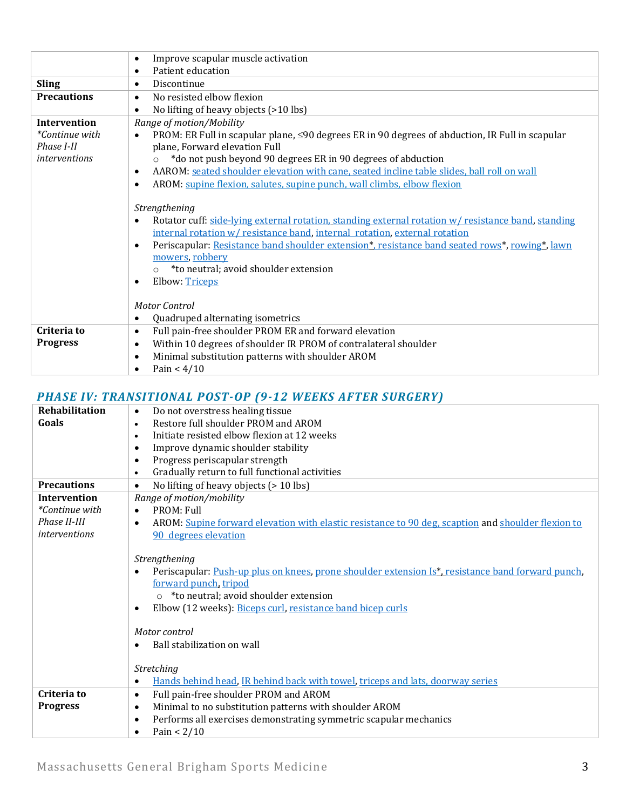|                       | Improve scapular muscle activation<br>$\bullet$                                                                                                                                                                                                                                                                                                                                                              |
|-----------------------|--------------------------------------------------------------------------------------------------------------------------------------------------------------------------------------------------------------------------------------------------------------------------------------------------------------------------------------------------------------------------------------------------------------|
|                       | Patient education<br>$\bullet$                                                                                                                                                                                                                                                                                                                                                                               |
| <b>Sling</b>          | Discontinue<br>$\bullet$                                                                                                                                                                                                                                                                                                                                                                                     |
| <b>Precautions</b>    | No resisted elbow flexion<br>$\bullet$                                                                                                                                                                                                                                                                                                                                                                       |
|                       | No lifting of heavy objects (>10 lbs)<br>$\bullet$                                                                                                                                                                                                                                                                                                                                                           |
| <b>Intervention</b>   | Range of motion/Mobility                                                                                                                                                                                                                                                                                                                                                                                     |
| <i>*Continue with</i> | PROM: ER Full in scapular plane, $\leq 90$ degrees ER in 90 degrees of abduction, IR Full in scapular<br>$\bullet$                                                                                                                                                                                                                                                                                           |
| Phase I-II            | plane, Forward elevation Full                                                                                                                                                                                                                                                                                                                                                                                |
| <i>interventions</i>  | *do not push beyond 90 degrees ER in 90 degrees of abduction                                                                                                                                                                                                                                                                                                                                                 |
|                       | AAROM: seated shoulder elevation with cane, seated incline table slides, ball roll on wall<br>$\bullet$                                                                                                                                                                                                                                                                                                      |
|                       | AROM: supine flexion, salutes, supine punch, wall climbs, elbow flexion<br>$\bullet$                                                                                                                                                                                                                                                                                                                         |
|                       | Strengthening<br>Rotator cuff: side-lying external rotation, standing external rotation w/ resistance band, standing<br>internal rotation w/ resistance band, internal rotation, external rotation<br>Periscapular: Resistance band shoulder extension*, resistance band seated rows*, rowing*, lawn<br>$\bullet$<br>mowers, robbery<br>*to neutral; avoid shoulder extension<br>Elbow: Triceps<br>$\bullet$ |
|                       | Motor Control                                                                                                                                                                                                                                                                                                                                                                                                |
|                       | Quadruped alternating isometrics<br>$\bullet$                                                                                                                                                                                                                                                                                                                                                                |
| Criteria to           | Full pain-free shoulder PROM ER and forward elevation<br>$\bullet$                                                                                                                                                                                                                                                                                                                                           |
| <b>Progress</b>       | Within 10 degrees of shoulder IR PROM of contralateral shoulder<br>$\bullet$                                                                                                                                                                                                                                                                                                                                 |
|                       | Minimal substitution patterns with shoulder AROM<br>$\bullet$                                                                                                                                                                                                                                                                                                                                                |
|                       | Pain $< 4/10$<br>$\bullet$                                                                                                                                                                                                                                                                                                                                                                                   |

# *PHASE IV: TRANSITIONAL POST-OP (9-12 WEEKS AFTER SURGERY)*

|                       | 1 1111911 1 11 111111191 11011111 1 09 1 -01 -12 -14 -11 111119 111 1111 1011111 1                              |
|-----------------------|-----------------------------------------------------------------------------------------------------------------|
| <b>Rehabilitation</b> | Do not overstress healing tissue<br>$\bullet$                                                                   |
| Goals                 | Restore full shoulder PROM and AROM<br>$\bullet$                                                                |
|                       | Initiate resisted elbow flexion at 12 weeks<br>$\bullet$                                                        |
|                       | Improve dynamic shoulder stability<br>$\bullet$                                                                 |
|                       | Progress periscapular strength<br>$\bullet$                                                                     |
|                       | Gradually return to full functional activities<br>$\bullet$                                                     |
| <b>Precautions</b>    | No lifting of heavy objects (> 10 lbs)<br>$\bullet$                                                             |
| <b>Intervention</b>   | Range of motion/mobility                                                                                        |
| <i>*Continue with</i> | PROM: Full<br>$\bullet$                                                                                         |
| Phase II-III          | AROM: Supine forward elevation with elastic resistance to 90 deg, scaption and shoulder flexion to<br>$\bullet$ |
| <i>interventions</i>  | 90 degrees elevation                                                                                            |
|                       |                                                                                                                 |
|                       | Strengthening                                                                                                   |
|                       | Periscapular: Push-up plus on knees, prone shoulder extension Is*, resistance band forward punch,<br>$\bullet$  |
|                       | forward punch, tripod                                                                                           |
|                       | o *to neutral; avoid shoulder extension                                                                         |
|                       | Elbow (12 weeks): Biceps curl, resistance band bicep curls<br>٠                                                 |
|                       |                                                                                                                 |
|                       | Motor control                                                                                                   |
|                       | Ball stabilization on wall                                                                                      |
|                       |                                                                                                                 |
|                       | Stretching                                                                                                      |
|                       | Hands behind head. IR behind back with towel, triceps and lats, doorway series                                  |
| Criteria to           | Full pain-free shoulder PROM and AROM<br>$\bullet$                                                              |
| <b>Progress</b>       | Minimal to no substitution patterns with shoulder AROM<br>$\bullet$                                             |
|                       | Performs all exercises demonstrating symmetric scapular mechanics<br>$\bullet$                                  |
|                       | Pain $< 2/10$<br>$\bullet$                                                                                      |